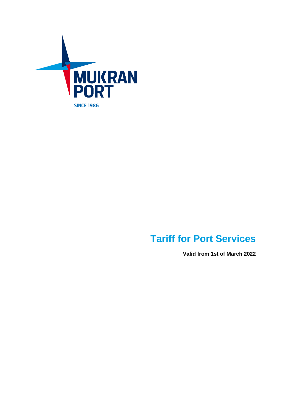

# **Tariff for Port Services**

**Valid from 1st of March 2022**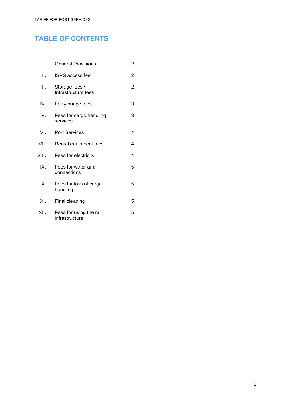# **TABLE OF CONTENTS**

| I.    | <b>General Provisions</b>                 | 2 |
|-------|-------------------------------------------|---|
| ΙΙ.   | <b>ISPS</b> access fee                    | 2 |
| III.  | Storage fees /<br>Infrastructure fees     | 2 |
| IV.   | Ferry bridge fees                         | 3 |
| V.    | Fees for cargo handling<br>services       | 3 |
| VI.   | <b>Port Services</b>                      | 4 |
| VII.  | Rental equipment fees                     | 4 |
| VIII. | Fees for electricity                      | 4 |
| IX.   | Fees for water and<br>connections         | 5 |
| Χ.    | Fees for loss of cargo<br>handling        | 5 |
| XI.   | Final cleaning                            | 5 |
| XII.  | Fees for using the rail<br>infrastructure | 5 |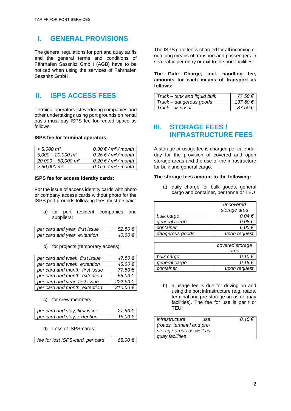# **I. GENERAL PROVISIONS**

The general regulations for port and quay tariffs and the general terms and conditions of Fährhafen Sassnitz GmbH (AGB) have to be noticed when using the services of Fährhafen Sassnitz GmbH.

# **II. ISPS ACCESS FEES**

Terminal operators, stevedoring companies and other undertakings using port grounds on rental basis must pay ISPS fee for rented space as follows:

#### **ISPS fee for terminal operators:**

| $< 5.000 \; \mathrm{m}^2$        | $0.30 \notin / m2 / month$ |
|----------------------------------|----------------------------|
| $5,000 - 20,000$ m <sup>2</sup>  | $0.25 \notin / m2 / month$ |
| $20,000 - 50,000$ m <sup>2</sup> | $0.20 \notin /m^2/m$ onth  |
| $>$ 50,000 m <sup>2</sup>        | 0.15 € / $m2$ / month      |

#### **ISPS fee for access identity cards:**

For the issue of access identity cards with photo or company access cards without photo for the ISPS port grounds following fees must be paid:

a) for port resident companies and suppliers:

| per card and year, first issue | $52.50 \in$ |
|--------------------------------|-------------|
| per card and year, extention   | 40.00€      |

b) for projects (temporary access):

| per card and week, first issue  | 47.50€  |
|---------------------------------|---------|
| per card and week, extention    | 45.00€  |
| per card and month, first issue | 77.50€  |
| per card and month, extention   | 65.00€  |
| per card and year, first issue  | 222.50€ |
| per card and month, extention   | 210.00€ |

c) for crew members:

| per card and stay, first issue | 27.50€  |
|--------------------------------|---------|
| per card and stay, extention   | 15.00 € |

d) Loss of ISPS-cards:

| fee for lost ISPS-card, per card | 65.00€ |
|----------------------------------|--------|
|----------------------------------|--------|

The ISPS gate fee is charged for all incoming or outgoing means of transport and passengers in sea traffic per entry or exit to the port facilities.

**The Gate Charge, incl. handling fee, amounts for each means of transport as follows:**

| Truck – tank and liquid bulk | 77.50 €     |
|------------------------------|-------------|
| Truck – dangerous goods      | 137.50 €    |
| Truck - disposal             | $87.50 \in$ |

### **III. STORAGE FEES / INFRASTRUCTURE FEES**

A storage or usage fee is charged per calendar day for the provision of covered and open storage areas and the use of the infrastructure for bulk and general cargo.

#### **The storage fees amount to the following:**

a) daily charge for bulk goods, general cargo and container, per tonne or TEU

|                 | uncovered       |
|-----------------|-----------------|
|                 | storage area    |
| bulk cargo      | $0.04 \in$      |
| general cargo   | $0.08 \in$      |
| container       | 6.00 $\epsilon$ |
| dangerous goods | upon request    |

|               | covered storage |
|---------------|-----------------|
|               | area            |
| bulk cargo    | $0.10 \in$      |
| general cargo | $0.18 \in$      |
| container     | upon request    |

b) a usage fee is due for driving on and using the port infrastructure (e.g. roads, terminal and pre-storage areas or quay facilities). The fee for use is per t or TEU:

| infrastructure            | use | 0.10 € |
|---------------------------|-----|--------|
| (roads, terminal and pre- |     |        |
| storage areas as well as  |     |        |
| quay facilities           |     |        |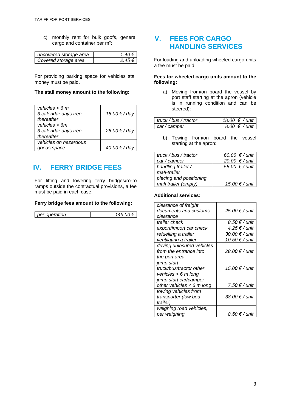c) monthly rent for bulk goofs, general cargo and container per m²:

| uncovered storage area | 140€       |
|------------------------|------------|
| Covered storage area   | 2.45 $\in$ |

For providing parking space for vehicles stall money must be paid.

#### **The stall money amount to the following:**

| vehicles $< 6 m$<br>3 calendar days free,<br>thereafter | 16.00 € / day |
|---------------------------------------------------------|---------------|
| vehicles $> 6m$<br>3 calendar days free,<br>thereafter  | 26.00 € / day |
| vehicles on hazardous<br>goods space                    | 40.00 € / day |

# **IV. FERRY BRIDGE FEES**

For lifting and lowering ferry bridges/ro-ro ramps outside the contractual provisions, a fee must be paid in each case.

#### **Ferry bridge fees amount to the following:**

| oneration<br>per |
|------------------|
|------------------|

### **V. FEES FOR CARGO HANDLING SERVICES**

For loading and unloading wheeled cargo units a fee must be paid.

#### **Fees for wheeled cargo units amount to the following:**

a) Moving from/on board the vessel by port staff starting at the apron (vehicle is in running condition and can be steered):

| truck / bus / tractor | $18.00 \t∈ /$ unit   |
|-----------------------|----------------------|
| car/camper            | $8.00 \notin /$ unit |

b) Towing from/on board the vessel starting at the apron:

| truck / bus / tractor   | 60.00 € / unit |
|-------------------------|----------------|
| car / camper            | 20.00 € / unit |
| handling trailer /      | 55.00 € / unit |
| mafi-trailer            |                |
| placing and positioning |                |
| mafi trailer (empty)    | 15.00 € / unit |

#### **Additional services:**

| clearance of freight<br>documents and customs<br>clearance            | 25.00 € / unit |
|-----------------------------------------------------------------------|----------------|
| trailer check                                                         | 8.50 € / unit  |
| export/import car check                                               | 4.25 € / unit  |
| refuelling a trailer                                                  | 30.00 € / unit |
| ventilating a trailer                                                 | 10.50 € / unit |
| driving uninsured vehicles<br>from the entrance into<br>the port area | 28.00 € / unit |
| jump start<br>truck/bus/tractor other<br>vehicles $> 6 m$ long        | 15.00 € / unit |
| jump start car/camper<br>other vehicles $< 6$ m long                  | 7.50 € / unit  |
| towing vehicles from<br>transporter (low bed<br>trailer)              | 38.00 € / unit |
| weighing road vehicles,<br>per weighing                               | 8.50 € / unit  |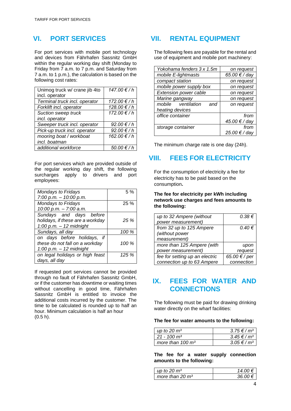# **VI. PORT SERVICES**

For port services with mobile port technology and devices from Fährhafen Sassnitz GmbH within the regular working day shift (Monday to Friday from 7 a.m. to 7 p.m. and Saturday from 7 a.m. to 1 p.m.), the calculation is based on the following cost rates:

| Unimog truck w/ crane jib 4to | 147.00 €/h |
|-------------------------------|------------|
| incl. operator                |            |
| Terminal truck incl. operator | 172.00 €/h |
| Forklift incl. operator       | 128.00 €/h |
| <b>Suction sweep truck</b>    | 172.00 €/h |
| incl. operator                |            |
| Sweeper truck incl. operator  | 92.00 €/h  |
| Pick-up truck incl. operator  | 92.00 €/h  |
| mooring boat / workboat       | 162.00 €/h |
| incl. boatman                 |            |
| additional workforce          | 50.00 €/h  |

For port services which are provided outside of the regular working day shift, the following surcharges apply to drivers and port employees:

| Mondays to Fridays               | 5%    |
|----------------------------------|-------|
| $7:00$ p.m. $-10:00$ p.m.        |       |
| <b>Mondays to Fridays</b>        | 25%   |
| 10:00 p.m. - 7:00 a.m.           |       |
| Sundays and days before          |       |
| holidays, if these are a workday | 25%   |
| $1:00$ p.m. $-12$ midnight       |       |
| Sundays, all day                 | 100 % |
| on days before holidays,<br>if   |       |
| these do not fall on a workday   | 100 % |
| $1:00$ p.m. - 12 midnight        |       |
| on legal holidays or high feast  | 125 % |
| days, all day                    |       |

If requested port services cannot be provided through no fault of Fährhafen Sassnitz GmbH, or if the customer has downtime or waiting times without cancelling in good time, Fährhafen Sassnitz GmbH is entitled to invoice the additional costs incurred by the customer. The time to be calculated is rounded up to half an hour. Minimum calculation is half an hour (0.5 h).

# **VII. RENTAL EQUIPMENT**

The following fees are payable for the rental and use of equipment and mobile port machinery:

| on request    |
|---------------|
| 65.00 € / day |
| on request    |
| on request    |
| on request    |
| on request    |
| on request    |
|               |
| from          |
| 45.00 € / day |
| from          |
| 25.00 € / day |
|               |

The minimum charge rate is one day (24h).

# **VIII. FEES FOR ELECTRICITY**

For the consumption of electricity a fee for electricity has to be paid based on the consumption**.** 

**The fee for electricity per kWh including network use charges and fees amounts to the following:**

| up to 32 Ampere (without       | $0.38 \in$    |
|--------------------------------|---------------|
| power measurement)             |               |
| from 32 up to 125 Ampere       | $0.40 \in$    |
| (without power                 |               |
| measurement)                   |               |
| more than 125 Ampere (with     | upon          |
| power measurement)             | request       |
| fee for setting up an electric | 65.00 € / per |
| connection up to 63 Ampere     | connection    |

### **IX. FEES FOR WATER AND CONNECTIONS**

The following must be paid for drawing drinking water directly on the wharf facilities:

#### **The fee for water amounts to the following:**

| up to 20 $m3$             | $3.75 \in / m^3$ |
|---------------------------|------------------|
| $21 - 100$ m <sup>3</sup> | $3.45 \in / m^3$ |
| more than 100 $m^3$       | $3.05 \in / m^3$ |

**The fee for a water supply connection amounts to the following:**

| up to 20 $m3$     |  |
|-------------------|--|
| more than 20 $m3$ |  |